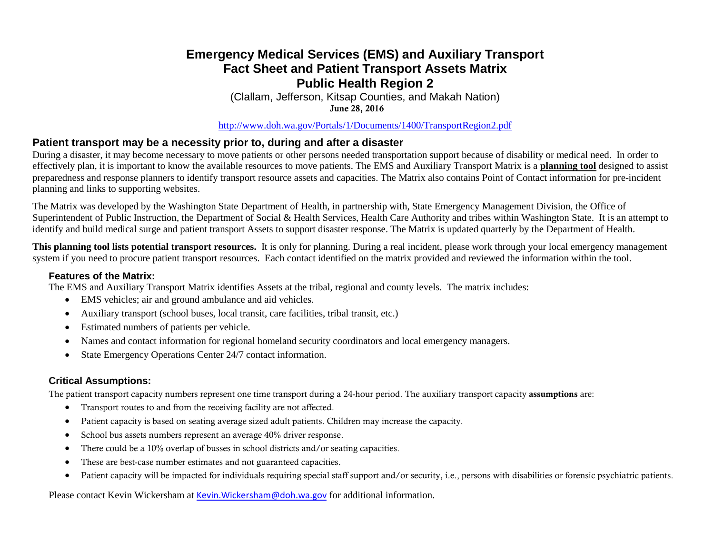## **Emergency Medical Services (EMS) and Auxiliary Transport Fact Sheet and Patient Transport Assets Matrix Public Health Region 2**

(Clallam, Jefferson, Kitsap Counties, and Makah Nation) June 28, 2016

<http://www.doh.wa.gov/Portals/1/Documents/1400/TransportRegion2.pdf>

### **Patient transport may be a necessity prior to, during and after a disaster**

During a disaster, it may become necessary to move patients or other persons needed transportation support because of disability or medical need. In order to effectively plan, it is important to know the available resources to move patients. The EMS and Auxiliary Transport Matrix is a **planning tool** designed to assist preparedness and response planners to identify transport resource assets and capacities. The Matrix also contains Point of Contact information for pre-incident planning and links to supporting websites.

The Matrix was developed by the Washington State Department of Health, in partnership with, State Emergency Management Division, the Office of Superintendent of Public Instruction, the Department of Social & Health Services, Health Care Authority and tribes within Washington State. It is an attempt to identify and build medical surge and patient transport Assets to support disaster response. The Matrix is updated quarterly by the Department of Health.

**This planning tool lists potential transport resources.** It is only for planning. During a real incident, please work through your local emergency management system if you need to procure patient transport resources. Each contact identified on the matrix provided and reviewed the information within the tool.

#### **Features of the Matrix:**

The EMS and Auxiliary Transport Matrix identifies Assets at the tribal, regional and county levels. The matrix includes:

- EMS vehicles; air and ground ambulance and aid vehicles.
- Auxiliary transport (school buses, local transit, care facilities, tribal transit, etc.)
- Estimated numbers of patients per vehicle.
- Names and contact information for regional homeland security coordinators and local emergency managers.
- State Emergency Operations Center 24/7 contact information.

### **Critical Assumptions:**

The patient transport capacity numbers represent one time transport during a 24-hour period. The auxiliary transport capacity assumptions are:

- Transport routes to and from the receiving facility are not affected.
- Patient capacity is based on seating average sized adult patients. Children may increase the capacity.
- School bus assets numbers represent an average 40% driver response.
- There could be a 10% overlap of busses in school districts and/or seating capacities.
- These are best-case number estimates and not guaranteed capacities.
- Patient capacity will be impacted for individuals requiring special staff support and/or security, i.e., persons with disabilities or forensic psychiatric patients.

Please contact Kevin Wickersham at [Kevin.Wickersham@doh.wa.gov](mailto:Kevin.Wickersham@doh.wa.gov) for additional information.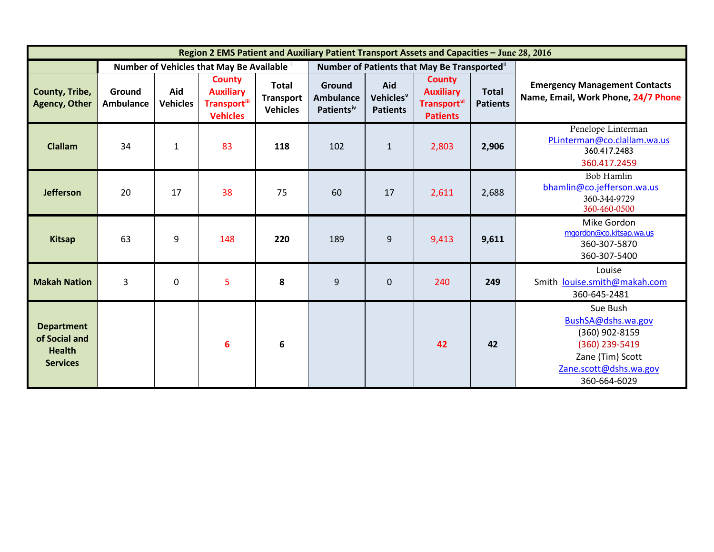| Region 2 EMS Patient and Auxiliary Patient Transport Assets and Capacities - June 28, 2016 |                            |                        |                                                                             |                                                     |                                                      |                                                 |                                                                                 |                                 |                                                                                                                                  |
|--------------------------------------------------------------------------------------------|----------------------------|------------------------|-----------------------------------------------------------------------------|-----------------------------------------------------|------------------------------------------------------|-------------------------------------------------|---------------------------------------------------------------------------------|---------------------------------|----------------------------------------------------------------------------------------------------------------------------------|
|                                                                                            |                            |                        | Number of Vehicles that May Be Available i                                  |                                                     | Number of Patients that May Be Transported"          |                                                 |                                                                                 |                                 |                                                                                                                                  |
| County, Tribe,<br><b>Agency, Other</b>                                                     | Ground<br><b>Ambulance</b> | Aid<br><b>Vehicles</b> | <b>County</b><br><b>Auxiliary</b><br><b>Transportill</b><br><b>Vehicles</b> | <b>Total</b><br><b>Transport</b><br><b>Vehicles</b> | Ground<br><b>Ambulance</b><br>Patients <sup>iv</sup> | Aid<br>Vehicles <sup>v</sup><br><b>Patients</b> | <b>County</b><br><b>Auxiliary</b><br>Transport <sup>vi</sup><br><b>Patients</b> | <b>Total</b><br><b>Patients</b> | <b>Emergency Management Contacts</b><br>Name, Email, Work Phone, 24/7 Phone                                                      |
| <b>Clallam</b>                                                                             | 34                         | $\mathbf{1}$           | 83                                                                          | 118                                                 | 102                                                  | $\mathbf{1}$                                    | 2,803                                                                           | 2,906                           | Penelope Linterman<br>PLinterman@co.clallam.wa.us<br>360.417.2483<br>360.417.2459                                                |
| <b>Jefferson</b>                                                                           | 20                         | 17                     | 38                                                                          | 75                                                  | 60                                                   | 17                                              | 2,611                                                                           | 2,688                           | <b>Bob Hamlin</b><br>bhamlin@co.jefferson.wa.us<br>360-344-9729<br>360-460-0500                                                  |
| <b>Kitsap</b>                                                                              | 63                         | 9                      | 148                                                                         | 220                                                 | 189                                                  | 9                                               | 9,413                                                                           | 9,611                           | Mike Gordon<br>mgordon@co.kitsap.wa.us<br>360-307-5870<br>360-307-5400                                                           |
| <b>Makah Nation</b>                                                                        | 3                          | $\mathbf{0}$           | 5                                                                           | 8                                                   | 9                                                    | $\Omega$                                        | 240                                                                             | 249                             | Louise<br>Smith louise.smith@makah.com<br>360-645-2481                                                                           |
| <b>Department</b><br>of Social and<br><b>Health</b><br><b>Services</b>                     |                            |                        | 6                                                                           | 6                                                   |                                                      |                                                 | 42                                                                              | 42                              | Sue Bush<br>BushSA@dshs.wa.gov<br>(360) 902-8159<br>(360) 239-5419<br>Zane (Tim) Scott<br>Zane.scott@dshs.wa.gov<br>360-664-6029 |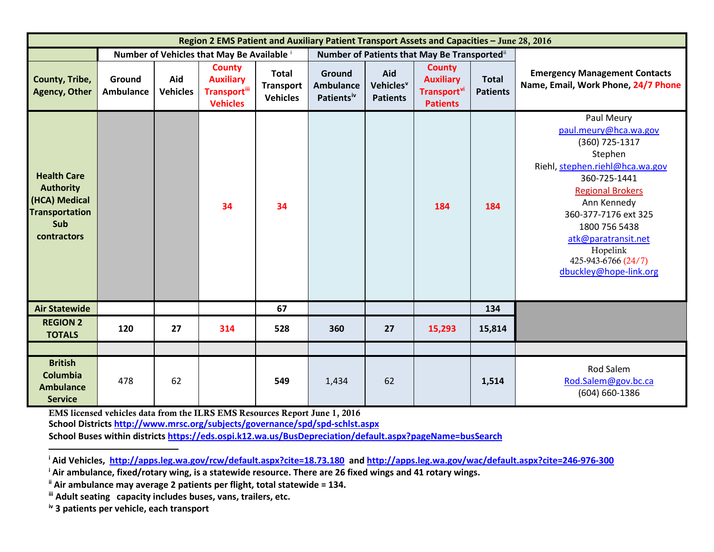<span id="page-2-3"></span><span id="page-2-2"></span><span id="page-2-1"></span><span id="page-2-0"></span>

| Region 2 EMS Patient and Auxiliary Patient Transport Assets and Capacities - June 28, 2016             |                            |                        |                                                                              |                                                     |                                                      |                                                 |                                                                                 |                                 |                                                                                                                                                                                                                                                                                            |  |
|--------------------------------------------------------------------------------------------------------|----------------------------|------------------------|------------------------------------------------------------------------------|-----------------------------------------------------|------------------------------------------------------|-------------------------------------------------|---------------------------------------------------------------------------------|---------------------------------|--------------------------------------------------------------------------------------------------------------------------------------------------------------------------------------------------------------------------------------------------------------------------------------------|--|
|                                                                                                        |                            |                        | Number of Vehicles that May Be Available i                                   |                                                     | Number of Patients that May Be Transported"          |                                                 |                                                                                 |                                 |                                                                                                                                                                                                                                                                                            |  |
| County, Tribe,<br><b>Agency, Other</b>                                                                 | Ground<br><b>Ambulance</b> | Aid<br><b>Vehicles</b> | <b>County</b><br><b>Auxiliary</b><br><b>Transport</b> iii<br><b>Vehicles</b> | <b>Total</b><br><b>Transport</b><br><b>Vehicles</b> | Ground<br><b>Ambulance</b><br>Patients <sup>iv</sup> | Aid<br>Vehicles <sup>v</sup><br><b>Patients</b> | <b>County</b><br><b>Auxiliary</b><br>Transport <sup>vi</sup><br><b>Patients</b> | <b>Total</b><br><b>Patients</b> | <b>Emergency Management Contacts</b><br>Name, Email, Work Phone, 24/7 Phone                                                                                                                                                                                                                |  |
| <b>Health Care</b><br><b>Authority</b><br>(HCA) Medical<br><b>Transportation</b><br>Sub<br>contractors |                            |                        | 34                                                                           | 34                                                  |                                                      |                                                 | 184                                                                             | 184                             | Paul Meury<br>paul.meury@hca.wa.gov<br>(360) 725-1317<br>Stephen<br>Riehl, stephen.riehl@hca.wa.gov<br>360-725-1441<br><b>Regional Brokers</b><br>Ann Kennedy<br>360-377-7176 ext 325<br>1800 756 5438<br>atk@paratransit.net<br>Hopelink<br>425-943-6766 (24/7)<br>dbuckley@hope-link.org |  |
| <b>Air Statewide</b>                                                                                   |                            |                        |                                                                              | 67                                                  |                                                      |                                                 |                                                                                 | 134                             |                                                                                                                                                                                                                                                                                            |  |
| <b>REGION 2</b><br><b>TOTALS</b>                                                                       | 120                        | 27                     | 314                                                                          | 528                                                 | 360                                                  | 27                                              | 15,293                                                                          | 15,814                          |                                                                                                                                                                                                                                                                                            |  |
|                                                                                                        |                            |                        |                                                                              |                                                     |                                                      |                                                 |                                                                                 |                                 |                                                                                                                                                                                                                                                                                            |  |
| <b>British</b><br>Columbia<br><b>Ambulance</b><br><b>Service</b>                                       | 478                        | 62                     |                                                                              | 549                                                 | 1,434                                                | 62                                              |                                                                                 | 1,514                           | Rod Salem<br>Rod.Salem@gov.bc.ca<br>(604) 660-1386                                                                                                                                                                                                                                         |  |

EMS licensed vehicles data from the ILRS EMS Resources Report June 1, 2016 **School District[s http://www.mrsc.org/subjects/governance/spd/spd-schlst.aspx](http://www.mrsc.org/subjects/governance/spd/spd-schlst.aspx) School Buses within districts<https://eds.ospi.k12.wa.us/BusDepreciation/default.aspx?pageName=busSearch>**

**<sup>i</sup> Aid Vehicles,<http://apps.leg.wa.gov/rcw/default.aspx?cite=18.73.180>and<http://apps.leg.wa.gov/wac/default.aspx?cite=246-976-300>**

**<sup>i</sup> Air ambulance, fixed/rotary wing, is a statewide resource. There are 26 fixed wings and 41 rotary wings.**

**ii Air ambulance may average 2 patients per flight, total statewide = 134.**

**iii Adult seating capacity includes buses, vans, trailers, etc.**

**iv 3 patients per vehicle, each transport**

 $\overline{\phantom{a}}$